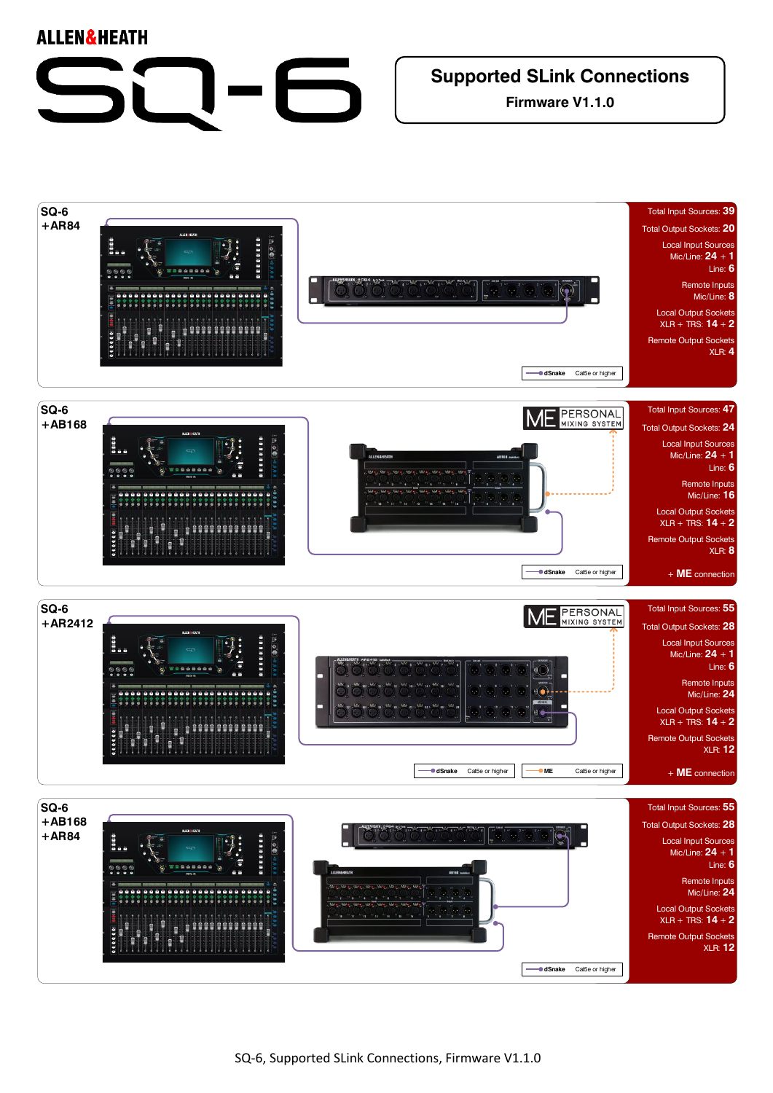## **ALLEN&HEATH Supported SLink Connections**



**Firmware V1.1.0**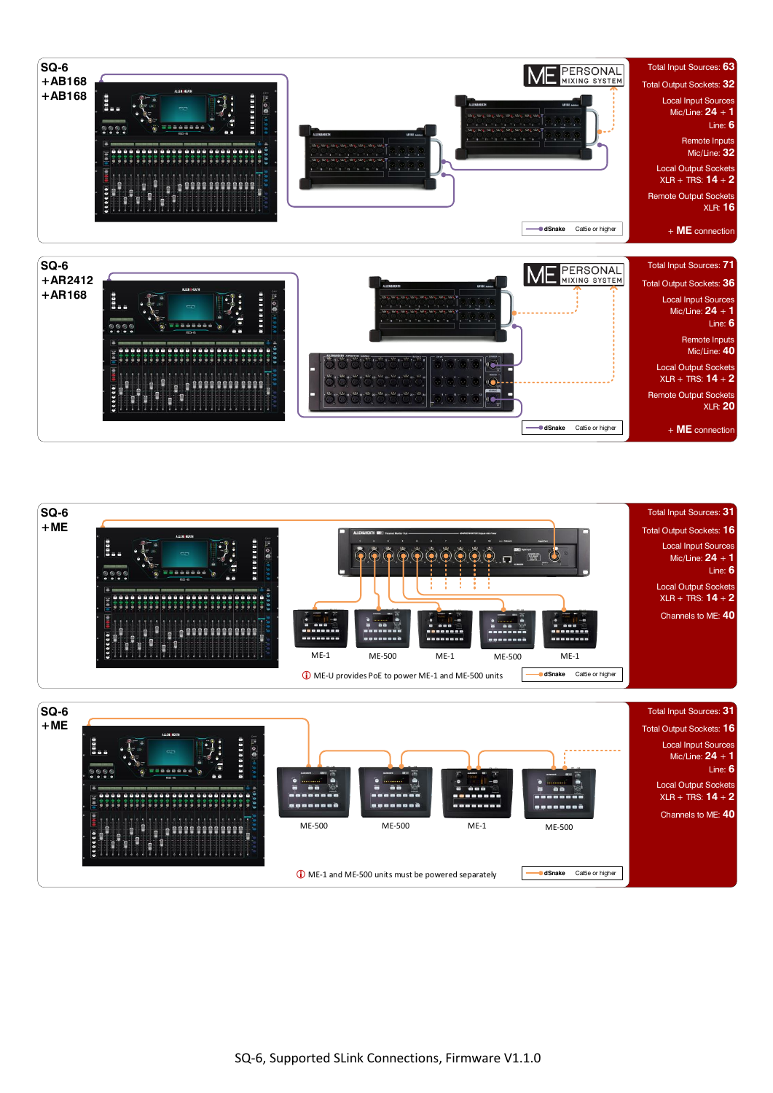